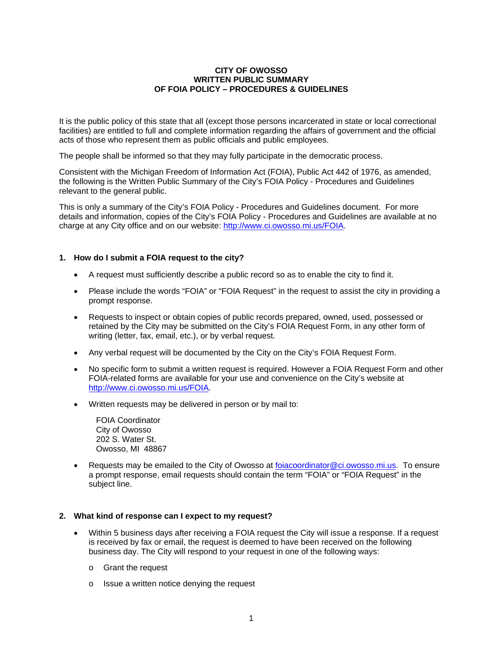#### **CITY OF OWOSSO WRITTEN PUBLIC SUMMARY OF FOIA POLICY – PROCEDURES & GUIDELINES**

It is the public policy of this state that all (except those persons incarcerated in state or local correctional facilities) are entitled to full and complete information regarding the affairs of government and the official acts of those who represent them as public officials and public employees.

The people shall be informed so that they may fully participate in the democratic process.

Consistent with the Michigan Freedom of Information Act (FOIA), Public Act 442 of 1976, as amended, the following is the Written Public Summary of the City's FOIA Policy - Procedures and Guidelines relevant to the general public.

This is only a summary of the City's FOIA Policy - Procedures and Guidelines document. For more details and information, copies of the City's FOIA Policy - Procedures and Guidelines are available at no charge at any City office and on our website: http://www.ci.owosso.mi.us/FOIA.

### **1. How do I submit a FOIA request to the city?**

- A request must sufficiently describe a public record so as to enable the city to find it.
- Please include the words "FOIA" or "FOIA Request" in the request to assist the city in providing a prompt response.
- Requests to inspect or obtain copies of public records prepared, owned, used, possessed or retained by the City may be submitted on the City's FOIA Request Form, in any other form of writing (letter, fax, email, etc.), or by verbal request.
- Any verbal request will be documented by the City on the City's FOIA Request Form.
- No specific form to submit a written request is required. However a FOIA Request Form and other FOIA-related forms are available for your use and convenience on the City's website at http://www.ci.owosso.mi.us/FOIA.
- Written requests may be delivered in person or by mail to:

FOIA Coordinator City of Owosso 202 S. Water St. Owosso, MI 48867

 Requests may be emailed to the City of Owosso at foiacoordinator@ci.owosso.mi.us. To ensure a prompt response, email requests should contain the term "FOIA" or "FOIA Request" in the subject line.

#### **2. What kind of response can I expect to my request?**

- Within 5 business days after receiving a FOIA request the City will issue a response. If a request is received by fax or email, the request is deemed to have been received on the following business day. The City will respond to your request in one of the following ways:
	- o Grant the request
	- o Issue a written notice denying the request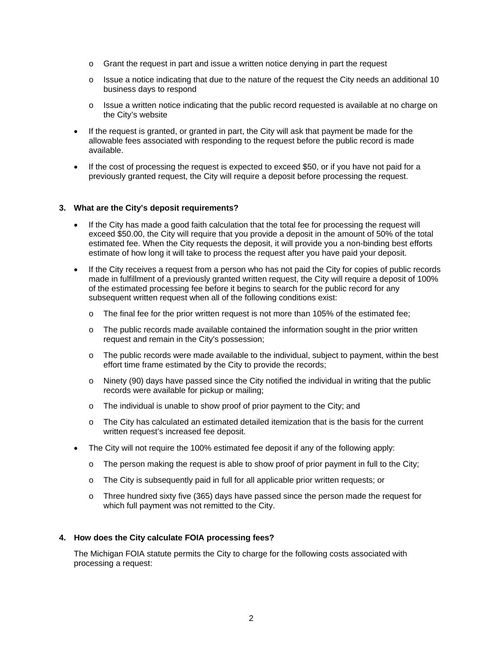- o Grant the request in part and issue a written notice denying in part the request
- $\circ$  Issue a notice indicating that due to the nature of the request the City needs an additional 10 business days to respond
- o Issue a written notice indicating that the public record requested is available at no charge on the City's website
- If the request is granted, or granted in part, the City will ask that payment be made for the allowable fees associated with responding to the request before the public record is made available.
- If the cost of processing the request is expected to exceed \$50, or if you have not paid for a previously granted request, the City will require a deposit before processing the request.

#### **3. What are the City's deposit requirements?**

- If the City has made a good faith calculation that the total fee for processing the request will exceed \$50.00, the City will require that you provide a deposit in the amount of 50% of the total estimated fee. When the City requests the deposit, it will provide you a non-binding best efforts estimate of how long it will take to process the request after you have paid your deposit.
- If the City receives a request from a person who has not paid the City for copies of public records made in fulfillment of a previously granted written request, the City will require a deposit of 100% of the estimated processing fee before it begins to search for the public record for any subsequent written request when all of the following conditions exist:
	- $\circ$  The final fee for the prior written request is not more than 105% of the estimated fee;
	- $\circ$  The public records made available contained the information sought in the prior written request and remain in the City's possession;
	- $\circ$  The public records were made available to the individual, subject to payment, within the best effort time frame estimated by the City to provide the records;
	- $\circ$  Ninety (90) days have passed since the City notified the individual in writing that the public records were available for pickup or mailing;
	- o The individual is unable to show proof of prior payment to the City; and
	- o The City has calculated an estimated detailed itemization that is the basis for the current written request's increased fee deposit.
- The City will not require the 100% estimated fee deposit if any of the following apply:
	- o The person making the request is able to show proof of prior payment in full to the City;
	- o The City is subsequently paid in full for all applicable prior written requests; or
	- o Three hundred sixty five (365) days have passed since the person made the request for which full payment was not remitted to the City.

#### **4. How does the City calculate FOIA processing fees?**

The Michigan FOIA statute permits the City to charge for the following costs associated with processing a request: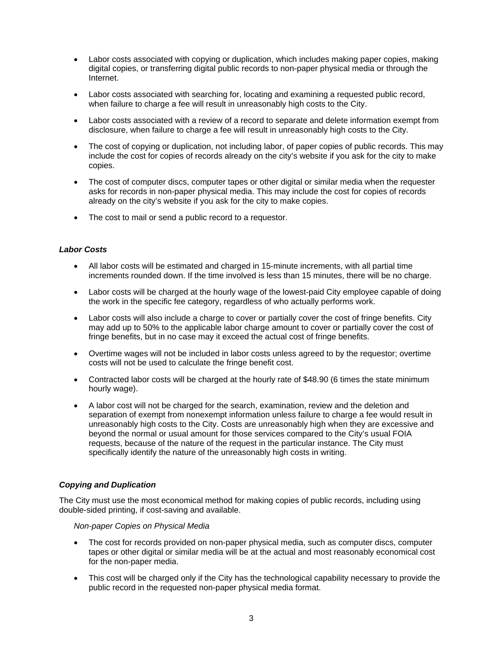- Labor costs associated with copying or duplication, which includes making paper copies, making digital copies, or transferring digital public records to non-paper physical media or through the Internet.
- Labor costs associated with searching for, locating and examining a requested public record, when failure to charge a fee will result in unreasonably high costs to the City.
- Labor costs associated with a review of a record to separate and delete information exempt from disclosure, when failure to charge a fee will result in unreasonably high costs to the City.
- The cost of copying or duplication, not including labor, of paper copies of public records. This may include the cost for copies of records already on the city's website if you ask for the city to make copies.
- The cost of computer discs, computer tapes or other digital or similar media when the requester asks for records in non-paper physical media. This may include the cost for copies of records already on the city's website if you ask for the city to make copies.
- The cost to mail or send a public record to a requestor.

### *Labor Costs*

- All labor costs will be estimated and charged in 15-minute increments, with all partial time increments rounded down. If the time involved is less than 15 minutes, there will be no charge.
- Labor costs will be charged at the hourly wage of the lowest-paid City employee capable of doing the work in the specific fee category, regardless of who actually performs work.
- Labor costs will also include a charge to cover or partially cover the cost of fringe benefits. City may add up to 50% to the applicable labor charge amount to cover or partially cover the cost of fringe benefits, but in no case may it exceed the actual cost of fringe benefits.
- Overtime wages will not be included in labor costs unless agreed to by the requestor; overtime costs will not be used to calculate the fringe benefit cost.
- Contracted labor costs will be charged at the hourly rate of \$48.90 (6 times the state minimum hourly wage).
- A labor cost will not be charged for the search, examination, review and the deletion and separation of exempt from nonexempt information unless failure to charge a fee would result in unreasonably high costs to the City. Costs are unreasonably high when they are excessive and beyond the normal or usual amount for those services compared to the City's usual FOIA requests, because of the nature of the request in the particular instance. The City must specifically identify the nature of the unreasonably high costs in writing.

#### *Copying and Duplication*

The City must use the most economical method for making copies of public records, including using double-sided printing, if cost-saving and available.

*Non-paper Copies on Physical Media* 

- The cost for records provided on non-paper physical media, such as computer discs, computer tapes or other digital or similar media will be at the actual and most reasonably economical cost for the non-paper media.
- This cost will be charged only if the City has the technological capability necessary to provide the public record in the requested non-paper physical media format.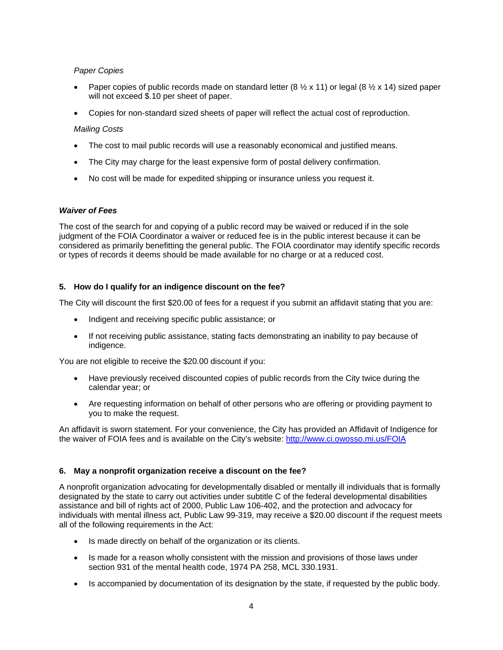# *Paper Copies*

- Paper copies of public records made on standard letter (8  $\frac{1}{2}$  x 11) or legal (8  $\frac{1}{2}$  x 14) sized paper will not exceed \$.10 per sheet of paper.
- Copies for non-standard sized sheets of paper will reflect the actual cost of reproduction.

# *Mailing Costs*

- The cost to mail public records will use a reasonably economical and justified means.
- The City may charge for the least expensive form of postal delivery confirmation.
- No cost will be made for expedited shipping or insurance unless you request it.

# *Waiver of Fees*

The cost of the search for and copying of a public record may be waived or reduced if in the sole judgment of the FOIA Coordinator a waiver or reduced fee is in the public interest because it can be considered as primarily benefitting the general public. The FOIA coordinator may identify specific records or types of records it deems should be made available for no charge or at a reduced cost.

# **5. How do I qualify for an indigence discount on the fee?**

The City will discount the first \$20.00 of fees for a request if you submit an affidavit stating that you are:

- Indigent and receiving specific public assistance; or
- If not receiving public assistance, stating facts demonstrating an inability to pay because of indigence.

You are not eligible to receive the \$20.00 discount if you:

- Have previously received discounted copies of public records from the City twice during the calendar year; or
- Are requesting information on behalf of other persons who are offering or providing payment to you to make the request.

An affidavit is sworn statement. For your convenience, the City has provided an Affidavit of Indigence for the waiver of FOIA fees and is available on the City's website: http://www.ci.owosso.mi.us/FOIA

# **6. May a nonprofit organization receive a discount on the fee?**

A nonprofit organization advocating for developmentally disabled or mentally ill individuals that is formally designated by the state to carry out activities under subtitle C of the federal developmental disabilities assistance and bill of rights act of 2000, Public Law 106-402, and the protection and advocacy for individuals with mental illness act, Public Law 99-319, may receive a \$20.00 discount if the request meets all of the following requirements in the Act:

- Is made directly on behalf of the organization or its clients.
- Is made for a reason wholly consistent with the mission and provisions of those laws under section 931 of the mental health code, 1974 PA 258, MCL 330.1931.
- Is accompanied by documentation of its designation by the state, if requested by the public body.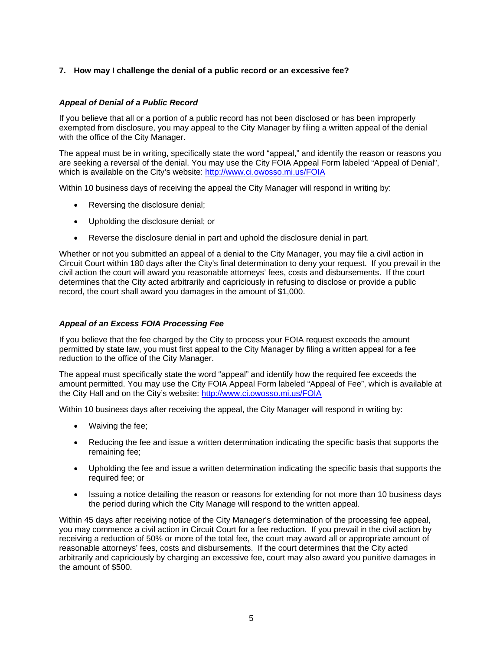# **7. How may I challenge the denial of a public record or an excessive fee?**

### *Appeal of Denial of a Public Record*

If you believe that all or a portion of a public record has not been disclosed or has been improperly exempted from disclosure, you may appeal to the City Manager by filing a written appeal of the denial with the office of the City Manager.

The appeal must be in writing, specifically state the word "appeal," and identify the reason or reasons you are seeking a reversal of the denial. You may use the City FOIA Appeal Form labeled "Appeal of Denial", which is available on the City's website: http://www.ci.owosso.mi.us/FOIA

Within 10 business days of receiving the appeal the City Manager will respond in writing by:

- Reversing the disclosure denial;
- Upholding the disclosure denial; or
- Reverse the disclosure denial in part and uphold the disclosure denial in part.

Whether or not you submitted an appeal of a denial to the City Manager, you may file a civil action in Circuit Court within 180 days after the City's final determination to deny your request. If you prevail in the civil action the court will award you reasonable attorneys' fees, costs and disbursements. If the court determines that the City acted arbitrarily and capriciously in refusing to disclose or provide a public record, the court shall award you damages in the amount of \$1,000.

### *Appeal of an Excess FOIA Processing Fee*

If you believe that the fee charged by the City to process your FOIA request exceeds the amount permitted by state law, you must first appeal to the City Manager by filing a written appeal for a fee reduction to the office of the City Manager.

The appeal must specifically state the word "appeal" and identify how the required fee exceeds the amount permitted. You may use the City FOIA Appeal Form labeled "Appeal of Fee", which is available at the City Hall and on the City's website: http://www.ci.owosso.mi.us/FOIA

Within 10 business days after receiving the appeal, the City Manager will respond in writing by:

- Waiving the fee;
- Reducing the fee and issue a written determination indicating the specific basis that supports the remaining fee;
- Upholding the fee and issue a written determination indicating the specific basis that supports the required fee; or
- Issuing a notice detailing the reason or reasons for extending for not more than 10 business days the period during which the City Manage will respond to the written appeal.

Within 45 days after receiving notice of the City Manager's determination of the processing fee appeal, you may commence a civil action in Circuit Court for a fee reduction. If you prevail in the civil action by receiving a reduction of 50% or more of the total fee, the court may award all or appropriate amount of reasonable attorneys' fees, costs and disbursements. If the court determines that the City acted arbitrarily and capriciously by charging an excessive fee, court may also award you punitive damages in the amount of \$500.